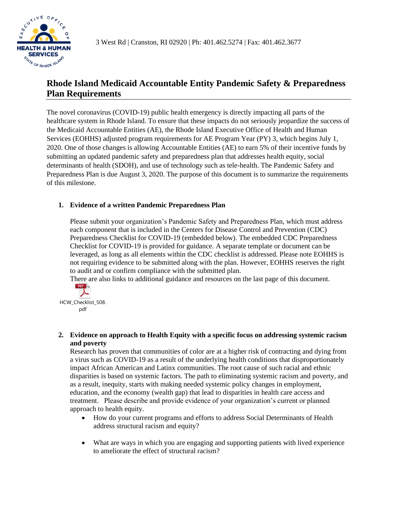

# **Rhode Island Medicaid Accountable Entity Pandemic Safety & Preparedness Plan Requirements**

The novel coronavirus (COVID-19) public health emergency is directly impacting all parts of the healthcare system in Rhode Island. To ensure that these impacts do not seriously jeopardize the success of the Medicaid Accountable Entities (AE), the Rhode Island Executive Office of Health and Human Services (EOHHS) adjusted program requirements for AE Program Year (PY) 3, which begins July 1, 2020. One of those changes is allowing Accountable Entities (AE) to earn 5% of their incentive funds by submitting an updated pandemic safety and preparedness plan that addresses health equity, social determinants of health (SDOH), and use of technology such as tele-health. The Pandemic Safety and Preparedness Plan is due August 3, 2020. The purpose of this document is to summarize the requirements of this milestone.

# **1. Evidence of a written Pandemic Preparedness Plan**

Please submit your organization's Pandemic Safety and Preparedness Plan, which must address each component that is included in the Centers for Disease Control and Prevention (CDC) Preparedness Checklist for COVID-19 (embedded below). The embedded CDC Preparedness Checklist for COVID-19 is provided for guidance. A separate template or document can be leveraged, as long as all elements within the CDC checklist is addressed. Please note EOHHS is not requiring evidence to be submitted along with the plan. However, EOHHS reserves the right to audit and or confirm compliance with the submitted plan.

There are also links to additional guidance and resources on the last page of this document.



HCW Checklist 508. pdf

# **2. Evidence on approach to Health Equity with a specific focus on addressing systemic racism and poverty**

Research has proven that communities of color are at a higher risk of contracting and dying from a virus such as COVID-19 as a result of the underlying health conditions that disproportionately impact African American and Latinx communities. The root cause of such racial and ethnic disparities is based on systemic factors. The path to eliminating systemic racism and poverty, and as a result, inequity, starts with making needed systemic policy changes in employment, education, and the economy (wealth gap) that lead to disparities in health care access and treatment. Please describe and provide evidence of your organization's current or planned approach to health equity.

- How do your current programs and efforts to address Social Determinants of Health address structural racism and equity?
- What are ways in which you are engaging and supporting patients with lived experience to ameliorate the effect of structural racism?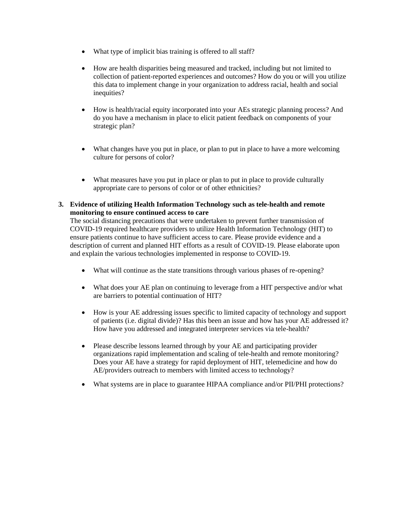- What type of implicit bias training is offered to all staff?
- How are health disparities being measured and tracked, including but not limited to collection of patient-reported experiences and outcomes? How do you or will you utilize this data to implement change in your organization to address racial, health and social inequities?
- How is health/racial equity incorporated into your AEs strategic planning process? And do you have a mechanism in place to elicit patient feedback on components of your strategic plan?
- What changes have you put in place, or plan to put in place to have a more welcoming culture for persons of color?
- What measures have you put in place or plan to put in place to provide culturally appropriate care to persons of color or of other ethnicities?
- **3. Evidence of utilizing Health Information Technology such as tele-health and remote monitoring to ensure continued access to care**

The social distancing precautions that were undertaken to prevent further transmission of COVID-19 required healthcare providers to utilize Health Information Technology (HIT) to ensure patients continue to have sufficient access to care. Please provide evidence and a description of current and planned HIT efforts as a result of COVID-19. Please elaborate upon and explain the various technologies implemented in response to COVID-19.

- What will continue as the state transitions through various phases of re-opening?
- What does your AE plan on continuing to leverage from a HIT perspective and/or what are barriers to potential continuation of HIT?
- How is your AE addressing issues specific to limited capacity of technology and support of patients (i.e. digital divide)? Has this been an issue and how has your AE addressed it? How have you addressed and integrated interpreter services via tele-health?
- Please describe lessons learned through by your AE and participating provider organizations rapid implementation and scaling of tele-health and remote monitoring? Does your AE have a strategy for rapid deployment of HIT, telemedicine and how do AE/providers outreach to members with limited access to technology?
- What systems are in place to guarantee HIPAA compliance and/or PII/PHI protections?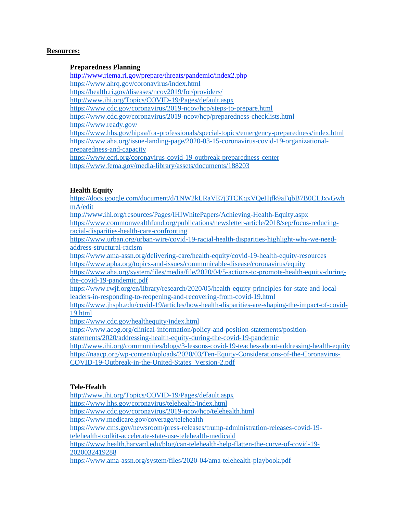#### **Resources:**

## **Preparedness Planning**

<http://www.riema.ri.gov/prepare/threats/pandemic/index2.php> <https://www.ahrq.gov/coronavirus/index.html> <https://health.ri.gov/diseases/ncov2019/for/providers/> <http://www.ihi.org/Topics/COVID-19/Pages/default.aspx> <https://www.cdc.gov/coronavirus/2019-ncov/hcp/steps-to-prepare.html> <https://www.cdc.gov/coronavirus/2019-ncov/hcp/preparedness-checklists.html> <https://www.ready.gov/> <https://www.hhs.gov/hipaa/for-professionals/special-topics/emergency-preparedness/index.html> [https://www.aha.org/issue-landing-page/2020-03-15-coronavirus-covid-19-organizational](https://www.aha.org/issue-landing-page/2020-03-15-coronavirus-covid-19-organizational-preparedness-and-capacity)[preparedness-and-capacity](https://www.aha.org/issue-landing-page/2020-03-15-coronavirus-covid-19-organizational-preparedness-and-capacity) <https://www.ecri.org/coronavirus-covid-19-outbreak-preparedness-center> <https://www.fema.gov/media-library/assets/documents/188203>

## **Health Equity**

[https://docs.google.com/document/d/1NW2kLRaVE7j3TCKqxVQeHjfk9aFqbB7B0CLJxvGwh](https://docs.google.com/document/d/1NW2kLRaVE7j3TCKqxVQeHjfk9aFqbB7B0CLJxvGwhmA/edit) [mA/edit](https://docs.google.com/document/d/1NW2kLRaVE7j3TCKqxVQeHjfk9aFqbB7B0CLJxvGwhmA/edit)

<http://www.ihi.org/resources/Pages/IHIWhitePapers/Achieving-Health-Equity.aspx>

[https://www.commonwealthfund.org/publications/newsletter-article/2018/sep/focus-reducing](https://www.commonwealthfund.org/publications/newsletter-article/2018/sep/focus-reducing-racial-disparities-health-care-confronting)[racial-disparities-health-care-confronting](https://www.commonwealthfund.org/publications/newsletter-article/2018/sep/focus-reducing-racial-disparities-health-care-confronting)

[https://www.urban.org/urban-wire/covid-19-racial-health-disparities-highlight-why-we-need](https://www.urban.org/urban-wire/covid-19-racial-health-disparities-highlight-why-we-need-address-structural-racism)[address-structural-racism](https://www.urban.org/urban-wire/covid-19-racial-health-disparities-highlight-why-we-need-address-structural-racism)

<https://www.ama-assn.org/delivering-care/health-equity/covid-19-health-equity-resources> <https://www.apha.org/topics-and-issues/communicable-disease/coronavirus/equity>

[https://www.aha.org/system/files/media/file/2020/04/5-actions-to-promote-health-equity-during](https://www.aha.org/system/files/media/file/2020/04/5-actions-to-promote-health-equity-during-the-covid-19-pandemic.pdf)[the-covid-19-pandemic.pdf](https://www.aha.org/system/files/media/file/2020/04/5-actions-to-promote-health-equity-during-the-covid-19-pandemic.pdf)

[https://www.rwjf.org/en/library/research/2020/05/health-equity-principles-for-state-and-local](https://www.rwjf.org/en/library/research/2020/05/health-equity-principles-for-state-and-local-leaders-in-responding-to-reopening-and-recovering-from-covid-19.html)[leaders-in-responding-to-reopening-and-recovering-from-covid-19.html](https://www.rwjf.org/en/library/research/2020/05/health-equity-principles-for-state-and-local-leaders-in-responding-to-reopening-and-recovering-from-covid-19.html)

[https://www.jhsph.edu/covid-19/articles/how-health-disparities-are-shaping-the-impact-of-covid-](https://www.jhsph.edu/covid-19/articles/how-health-disparities-are-shaping-the-impact-of-covid-19.html)[19.html](https://www.jhsph.edu/covid-19/articles/how-health-disparities-are-shaping-the-impact-of-covid-19.html)

<https://www.cdc.gov/healthequity/index.html>

[https://www.acog.org/clinical-information/policy-and-position-statements/position-](https://www.acog.org/clinical-information/policy-and-position-statements/position-statements/2020/addressing-health-equity-during-the-covid-19-pandemic)

[statements/2020/addressing-health-equity-during-the-covid-19-pandemic](https://www.acog.org/clinical-information/policy-and-position-statements/position-statements/2020/addressing-health-equity-during-the-covid-19-pandemic)

<http://www.ihi.org/communities/blogs/3-lessons-covid-19-teaches-about-addressing-health-equity> [https://naacp.org/wp-content/uploads/2020/03/Ten-Equity-Considerations-of-the-Coronavirus-](https://naacp.org/wp-content/uploads/2020/03/Ten-Equity-Considerations-of-the-Coronavirus-COVID-19-Outbreak-in-the-United-States_Version-2.pdf)[COVID-19-Outbreak-in-the-United-States\\_Version-2.pdf](https://naacp.org/wp-content/uploads/2020/03/Ten-Equity-Considerations-of-the-Coronavirus-COVID-19-Outbreak-in-the-United-States_Version-2.pdf)

## **Tele-Health**

<http://www.ihi.org/Topics/COVID-19/Pages/default.aspx>

<https://www.hhs.gov/coronavirus/telehealth/index.html>

<https://www.cdc.gov/coronavirus/2019-ncov/hcp/telehealth.html>

<https://www.medicare.gov/coverage/telehealth>

[https://www.cms.gov/newsroom/press-releases/trump-administration-releases-covid-19](https://www.cms.gov/newsroom/press-releases/trump-administration-releases-covid-19-telehealth-toolkit-accelerate-state-use-telehealth-medicaid) [telehealth-toolkit-accelerate-state-use-telehealth-medicaid](https://www.cms.gov/newsroom/press-releases/trump-administration-releases-covid-19-telehealth-toolkit-accelerate-state-use-telehealth-medicaid)

[https://www.health.harvard.edu/blog/can-telehealth-help-flatten-the-curve-of-covid-19-](https://www.health.harvard.edu/blog/can-telehealth-help-flatten-the-curve-of-covid-19-2020032419288) [2020032419288](https://www.health.harvard.edu/blog/can-telehealth-help-flatten-the-curve-of-covid-19-2020032419288)

<https://www.ama-assn.org/system/files/2020-04/ama-telehealth-playbook.pdf>